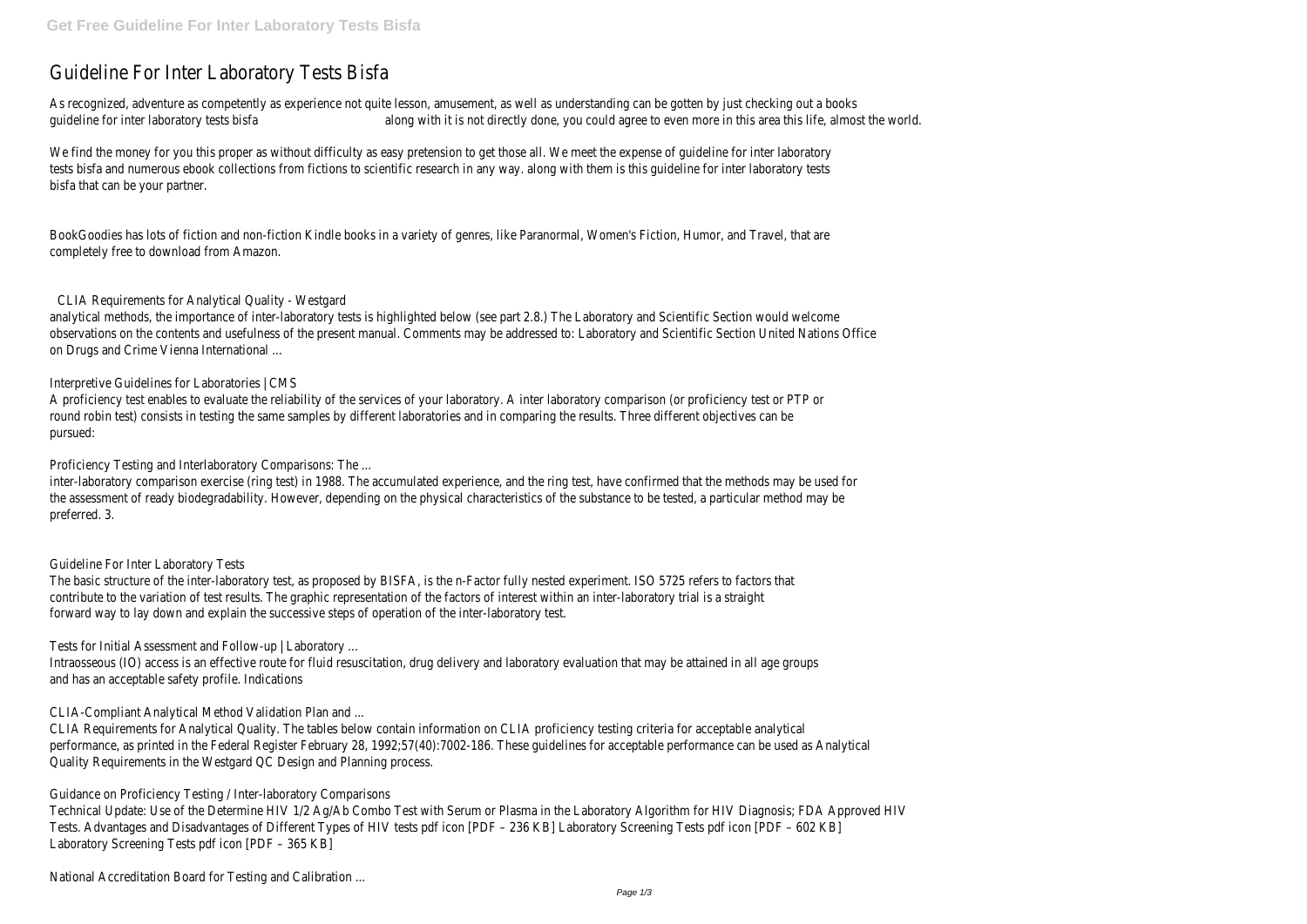# Guideline For Inter Laboratory Tests Bisfa

As recognized, adventure as competently as experience not quite lesson, amusement, as well as understanding can be gotten by just checking out a books guideline for inter laboratory tests bisfa along with it is not directly done, you could agree to even more in this area this life, almost the world.

We find the money for you this proper as without difficulty as easy pretension to get those all. We meet the expense of quideline for inter laboratory tests bisfa and numerous ebook collections from fictions to scientific research in any way. along with them is this guideline for inter laboratory tests bisfa that can be your partner.

BookGoodies has lots of fiction and non-fiction Kindle books in a variety of genres, like Paranormal, Women's Fiction, Humor, and Travel, that are completely free to download from Amazon.

### CLIA Requirements for Analytical Quality - Westgard

analytical methods, the importance of inter-laboratory tests is highlighted below (see part 2.8.) The Laboratory and Scientific Section would welcome observations on the contents and usefulness of the present manual. Comments may be addressed to: Laboratory and Scientific Section United Nations Office on Drugs and Crime Vienna International ...

### Interpretive Guidelines for Laboratories | CMS

A proficiency test enables to evaluate the reliability of the services of your laboratory. A inter laboratory comparison (or proficiency test or PTP or round robin test) consists in testing the same samples by different laboratories and in comparing the results. Three different objectives can be pursued:

Proficiency Testing and Interlaboratory Comparisons: The ...

inter-laboratory comparison exercise (ring test) in 1988. The accumulated experience, and the ring test, have confirmed that the methods may be used for the assessment of ready biodegradability. However, depending on the physical characteristics of the substance to be tested, a particular method may be preferred. 3.

#### Guideline For Inter Laboratory Tests

The basic structure of the inter-laboratory test, as proposed by BISFA, is the n-Factor fully nested experiment. ISO 5725 refers to factors that contribute to the variation of test results. The graphic representation of the factors of interest within an inter-laboratory trial is a straight forward way to lay down and explain the successive steps of operation of the inter-laboratory test.

Tests for Initial Assessment and Follow-up | Laboratory ...

Intraosseous (IO) access is an effective route for fluid resuscitation, drug delivery and laboratory evaluation that may be attained in all age groups and has an acceptable safety profile. Indications

CLIA-Compliant Analytical Method Validation Plan and ...

CLIA Requirements for Analytical Quality. The tables below contain information on CLIA proficiency testing criteria for acceptable analytical performance, as printed in the Federal Register February 28, 1992;57(40):7002-186. These guidelines for acceptable performance can be used as Analytical Quality Requirements in the Westgard QC Design and Planning process.

Guidance on Proficiency Testing / Inter-laboratory Comparisons

Technical Update: Use of the Determine HIV 1/2 Ag/Ab Combo Test with Serum or Plasma in the Laboratory Algorithm for HIV Diagnosis; FDA Approved HIV Tests. Advantages and Disadvantages of Different Types of HIV tests pdf icon [PDF – 236 KB] Laboratory Screening Tests pdf icon [PDF – 602 KB] Laboratory Screening Tests pdf icon [PDF – 365 KB]

National Accreditation Board for Testing and Calibration ...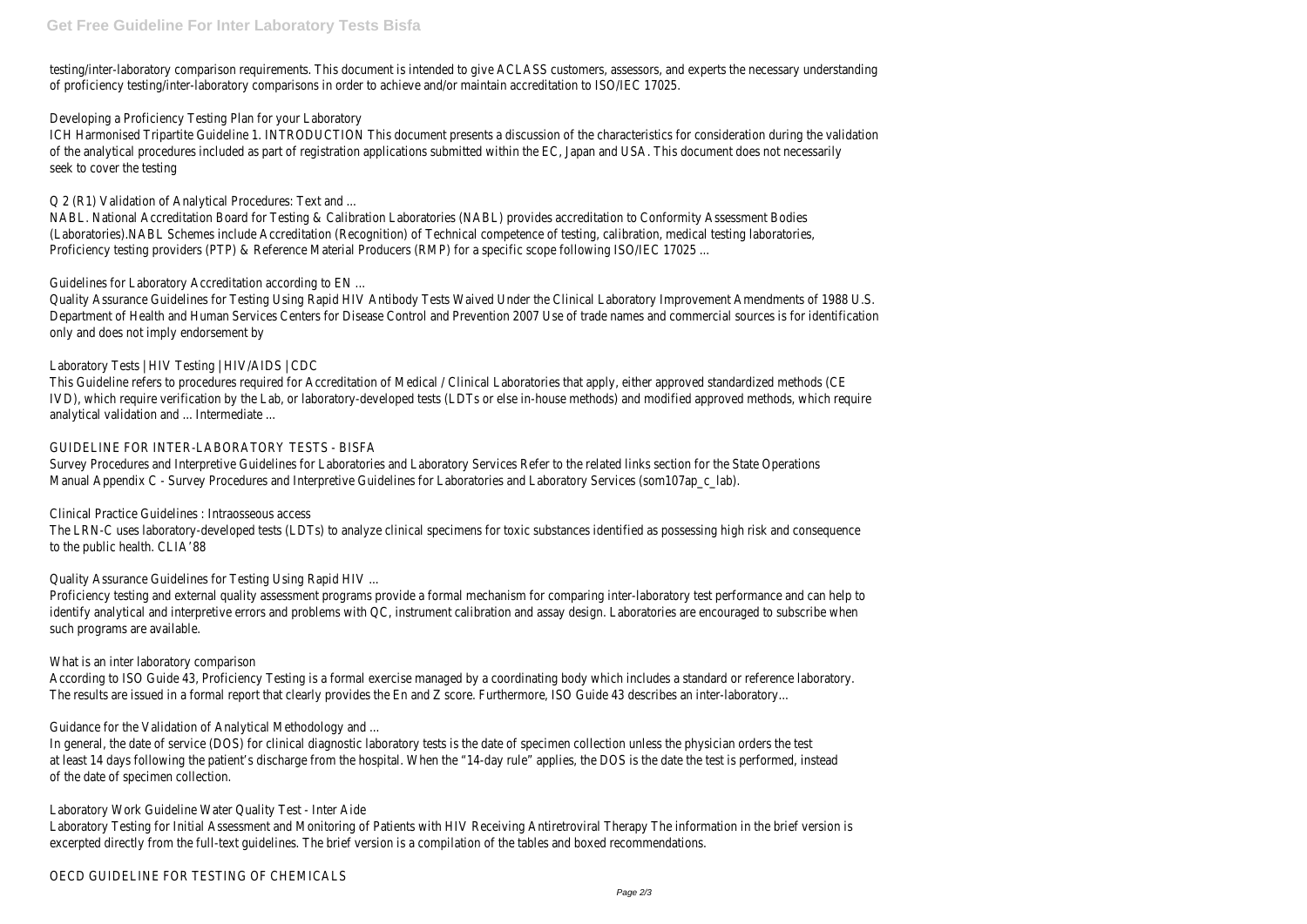testing/inter-laboratory comparison requirements. This document is intended to give ACLASS customers, assessors, and experts the necessary understanding of proficiency testing/inter-laboratory comparisons in order to achieve and/or maintain accreditation to ISO/IEC 17025.

Developing a Proficiency Testing Plan for your Laboratory

ICH Harmonised Tripartite Guideline 1. INTRODUCTION This document presents a discussion of the characteristics for consideration during the validation of the analytical procedures included as part of registration applications submitted within the EC, Japan and USA. This document does not necessarily seek to cover the testing

Q 2 (R1) Validation of Analytical Procedures: Text and ...

NABL. National Accreditation Board for Testing & Calibration Laboratories (NABL) provides accreditation to Conformity Assessment Bodies (Laboratories).NABL Schemes include Accreditation (Recognition) of Technical competence of testing, calibration, medical testing laboratories, Proficiency testing providers (PTP) & Reference Material Producers (RMP) for a specific scope following ISO/IEC 17025 ...

Survey Procedures and Interpretive Guidelines for Laboratories and Laboratory Services Refer to the related links section for the State Operations Manual Appendix C - Survey Procedures and Interpretive Guidelines for Laboratories and Laboratory Services (som107ap c lab).

Guidelines for Laboratory Accreditation according to EN ...

Quality Assurance Guidelines for Testing Using Rapid HIV Antibody Tests Waived Under the Clinical Laboratory Improvement Amendments of 1988 U.S. Department of Health and Human Services Centers for Disease Control and Prevention 2007 Use of trade names and commercial sources is for identification only and does not imply endorsement by

# Laboratory Tests | HIV Testing | HIV/AIDS | CDC

This Guideline refers to procedures required for Accreditation of Medical / Clinical Laboratories that apply, either approved standardized methods (CE IVD), which require verification by the Lab, or laboratory-developed tests (LDTs or else in-house methods) and modified approved methods, which require analytical validation and ... Intermediate ...

### GUIDELINE FOR INTER-LABORATORY TESTS - BISFA

Clinical Practice Guidelines : Intraosseous access

The LRN-C uses laboratory-developed tests (LDTs) to analyze clinical specimens for toxic substances identified as possessing high risk and consequence to the public health. CLIA'88

Quality Assurance Guidelines for Testing Using Rapid HIV ...

Proficiency testing and external quality assessment programs provide a formal mechanism for comparing inter-laboratory test performance and can help to identify analytical and interpretive errors and problems with QC, instrument calibration and assay design. Laboratories are encouraged to subscribe when such programs are available.

# What is an inter laboratory comparison

According to ISO Guide 43, Proficiency Testing is a formal exercise managed by a coordinating body which includes a standard or reference laboratory. The results are issued in a formal report that clearly provides the En and Z score. Furthermore, ISO Guide 43 describes an inter-laboratory...

Guidance for the Validation of Analytical Methodology and ...

In general, the date of service (DOS) for clinical diagnostic laboratory tests is the date of specimen collection unless the physician orders the test at least 14 days following the patient's discharge from the hospital. When the "14-day rule" applies, the DOS is the date the test is performed, instead of the date of specimen collection.

# Laboratory Work Guideline Water Quality Test - Inter Aide

Laboratory Testing for Initial Assessment and Monitoring of Patients with HIV Receiving Antiretroviral Therapy The information in the brief version is excerpted directly from the full-text guidelines. The brief version is a compilation of the tables and boxed recommendations.